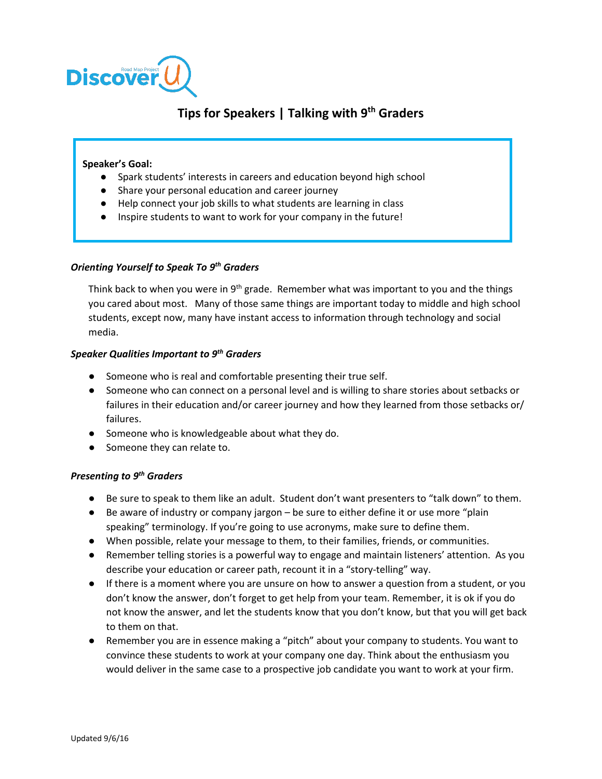

# **Tips for Speakers | Talking with 9th Graders**

#### **Speaker's Goal:**

- Spark students' interests in careers and education beyond high school
- Share your personal education and career journey
- Help connect your job skills to what students are learning in class
- Inspire students to want to work for your company in the future!

#### *Orienting Yourself to Speak To 9th Graders*

Think back to when you were in  $9<sup>th</sup>$  grade. Remember what was important to you and the things you cared about most. Many of those same things are important today to middle and high school students, except now, many have instant access to information through technology and social media.

#### *Speaker Qualities Important to 9th Graders*

- Someone who is real and comfortable presenting their true self.
- Someone who can connect on a personal level and is willing to share stories about setbacks or failures in their education and/or career journey and how they learned from those setbacks or/ failures.
- Someone who is knowledgeable about what they do.
- Someone they can relate to.

## *Presenting to 9th Graders*

- Be sure to speak to them like an adult. Student don't want presenters to "talk down" to them.
- Be aware of industry or company jargon be sure to either define it or use more "plain speaking" terminology. If you're going to use acronyms, make sure to define them.
- When possible, relate your message to them, to their families, friends, or communities.
- Remember telling stories is a powerful way to engage and maintain listeners' attention. As you describe your education or career path, recount it in a "story-telling" way.
- If there is a moment where you are unsure on how to answer a question from a student, or you don't know the answer, don't forget to get help from your team. Remember, it is ok if you do not know the answer, and let the students know that you don't know, but that you will get back to them on that.
- Remember you are in essence making a "pitch" about your company to students. You want to convince these students to work at your company one day. Think about the enthusiasm you would deliver in the same case to a prospective job candidate you want to work at your firm.